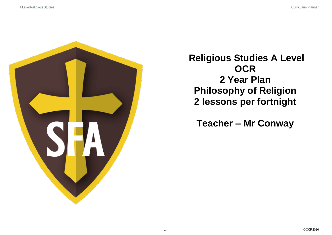

**Religious Studies A Level OCR 2 Year Plan Philosophy of Religion 2 lessons per fortnight**

**Teacher – Mr Conway**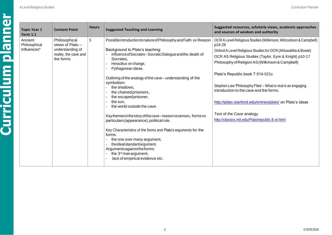| <b>Topic Year 1</b><br><b>Content Point</b><br><b>Term 1.1</b>        | <b>Hours</b>                                                       | <b>Suggested Teaching and Learning</b>                                                                                                                                                                                                                                                                                                                                                                                                                                                                                                                                                                                                                                                                                                                                                  | Suggested resources, scholarly views, academic approaches<br>and sources of wisdom and authority                                                                                                                                                                                                                                                                                                                                                                                                                                                        |
|-----------------------------------------------------------------------|--------------------------------------------------------------------|-----------------------------------------------------------------------------------------------------------------------------------------------------------------------------------------------------------------------------------------------------------------------------------------------------------------------------------------------------------------------------------------------------------------------------------------------------------------------------------------------------------------------------------------------------------------------------------------------------------------------------------------------------------------------------------------------------------------------------------------------------------------------------------------|---------------------------------------------------------------------------------------------------------------------------------------------------------------------------------------------------------------------------------------------------------------------------------------------------------------------------------------------------------------------------------------------------------------------------------------------------------------------------------------------------------------------------------------------------------|
| Ancient<br>Philosophical<br>Philosophical<br>Influences*<br>the forms | 5<br>views of Plato -<br>understanding of<br>reality, the cave and | Possible introduction to nature of Philosophy and Faith vs Reason<br>Background to Plato's teaching:<br>Influence of Socrates-Socratic Dialogue and the death of<br>Socrates,<br>Heraclitus on change,<br>Pythagorean ideas.<br>Outlining of the analogy of the cave – understanding of the<br>symbolism:<br>the shadows.<br>the chained prisoners,<br>the escaped prisoner,<br>the sun,<br>the world outside the cave.<br>Keythemes in the story of the cave-reason vs senses, forms vs<br>particulars (appearance), political rule.<br>Key Characteristics of the forms and Plato's arguments for the<br>forms:<br>the one over many argument,<br>the ideal standard argument.<br>Arguments against the forms:<br>the 3 <sup>rd</sup> manargument,<br>lack of empirical evidence etc. | OCR A Level Religious Studies (Wilkinson, Wilcockson & Campbell)<br>p16-28<br>Oxford A Level Religious Studies for OCR (Ahluwahlia & Bowie)<br>OCR AS Religious Studies (Taylor, Eyre & Knight) p10-17<br>Philosophy of Religion AS (Wilkinson & Campbell)<br>Plato's Republic book 7 514-521c<br>Stephen Law 'Philosophy Files' - What is real is an engaging<br>introduction to the cave and the forms.<br>http://plato.stanford.edu/entries/plato/ on Plato's ideas<br>Text of the Cave analogy<br>http://classics.mit.edu/Plato/republic.8.vii.html |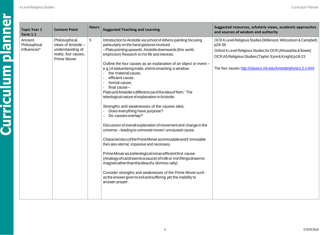| <b>Topic Year 1</b><br><b>Term 1.1</b>  | <b>Content Point</b>                                                                              | <b>Hours</b> | <b>Suggested Teaching and Learning</b>                                                                                                                                                                                                                                                                                                                                                                                                                                                                                                                                                                                                                                                                                                                                                                                                                                                                                                                                                                                                                                                                                                                                                                                                               | Suggested resources, scholarly views, academic approaches<br>and sources of wisdom and authority                                                                                                                                                                              |
|-----------------------------------------|---------------------------------------------------------------------------------------------------|--------------|------------------------------------------------------------------------------------------------------------------------------------------------------------------------------------------------------------------------------------------------------------------------------------------------------------------------------------------------------------------------------------------------------------------------------------------------------------------------------------------------------------------------------------------------------------------------------------------------------------------------------------------------------------------------------------------------------------------------------------------------------------------------------------------------------------------------------------------------------------------------------------------------------------------------------------------------------------------------------------------------------------------------------------------------------------------------------------------------------------------------------------------------------------------------------------------------------------------------------------------------------|-------------------------------------------------------------------------------------------------------------------------------------------------------------------------------------------------------------------------------------------------------------------------------|
| Ancient<br>Philosophical<br>Influences* | Philosophical<br>views of Aristotle -<br>understanding of<br>reality, four causes,<br>Prime Mover | 5            | Introduction to Aristotle via school of Athens painting focusing<br>particularly on the hand gestures involved<br>-Plato pointing upwards, Aristotle downwards (this world,<br>empiricism) Research on his life and interests.<br>Outline the four causes as an explanation of an object or event -<br>e.g.) A statue being made, a brick smashing a window:<br>the material cause,<br>efficient cause,<br>formal cause,<br>final cause-<br>Plato and Aristotle's different use of the idea of 'form.' The<br>teleological nature of explanation in Aristotle.<br>Strengths and weaknesses of the causes idea:<br>Does everything have purpose?<br>Do causes overlap?<br>Discussion of overall explanation of movement and change in the<br>universe - leading to unmoved mover/ uncaused cause.<br>Characteristics of the Prime Mover as immutable and if immutable<br>then also eternal, impassive and necessary.<br>Prime Mover as a teleological not an efficient first cause.<br>(Analogy of catdrawn to a saucer of milk or iron filings drawn to<br>magnetratherthantheideaofa domino rally)<br>Consider strengths and weaknesses of the Prime Mover such<br>as the answer given to evil and suffering yet the inability to<br>answer prayer. | OCR A Level Religious Studies (Wilkinson, Wilcockson & Campbell)<br>p29-39<br>Oxford A Level Religious Studies for OCR (Ahluwahlia & Bowie)<br>OCR AS Religious Studies (Taylor, Eyre & Knight) p18-23<br>The four causes http://classics.mit.edu/Aristotle/physics.2.ii.html |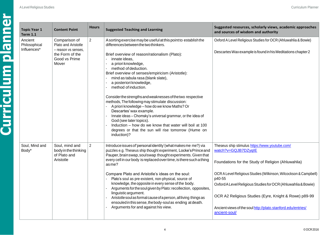|  | To<br>Ге         |
|--|------------------|
|  | An<br>Phi<br>Inf |
|  |                  |
|  |                  |
|  |                  |
|  |                  |
|  |                  |
|  |                  |
|  |                  |

| <b>Topic Year 1</b><br><b>Term 1.1</b>  | <b>Content Point</b>                                                                                     | <b>Hours</b>   | <b>Suggested Teaching and Learning</b>                                                                                                                                                                                                                                                                                                                                                                                                                                                                                                                                                                                                                                                                                                                                                                         | Suggested resources, scholarly views, academic approaches<br>and sources of wisdom and authority                                                                                                                                                                                                                                                                                                                     |
|-----------------------------------------|----------------------------------------------------------------------------------------------------------|----------------|----------------------------------------------------------------------------------------------------------------------------------------------------------------------------------------------------------------------------------------------------------------------------------------------------------------------------------------------------------------------------------------------------------------------------------------------------------------------------------------------------------------------------------------------------------------------------------------------------------------------------------------------------------------------------------------------------------------------------------------------------------------------------------------------------------------|----------------------------------------------------------------------------------------------------------------------------------------------------------------------------------------------------------------------------------------------------------------------------------------------------------------------------------------------------------------------------------------------------------------------|
| Ancient<br>Philosophical<br>Influences* | Comparison of<br>Plato and Aristotle<br>- reason vs senses,<br>the Form of the<br>Good vs Prime<br>Mover | $\overline{2}$ | A sorting exercise may be useful at this point to establish the<br>differences between the two thinkers.<br>Brief overview of reason/rationalism (Plato):<br>innate ideas,<br>$\mathbf{r}$<br>a priori knowledge,<br>method of deduction.<br>Brief overview of senses/empiricism (Aristotle):<br>mind as tabula rasa (blank slate),<br>a posteriori knowledge,<br>method of induction.<br>Consider the strengths and weaknesses of the two respective<br>methods, The following may stimulate discussion:<br>A priori knowledge - how do we know Maths? Or<br>Descartes' wax example.<br>Innate ideas - Chomsky's universal grammar, or the idea of<br>God (see later topics).<br>Induction - how do we know that water will boil at 100<br>degrees or that the sun will rise tomorrow (Hume on<br>induction)? | Oxford A Level Religious Studies for OCR (Ahluwahlia & Bowie)<br>Descartes Wax example is found in his Meditations chapter 2                                                                                                                                                                                                                                                                                         |
| Soul, Mind and<br>Body*                 | Soul, mind and<br>body in the thinking<br>of Plato and<br>Aristotle                                      | $\overline{2}$ | Introduce issues of 'personal identity' (what makes me me?) via<br>puzzles e.g. Theseus ship thought experiment, Locke's Prince and<br>Pauper, brain swap, soul swap thought experiments. Given that<br>every cell in our body is replaced over time, is there such a thing<br>asme?<br>Compare Plato and Aristotle's ideas on the soul:<br>Plato's soul as pre-existent, non-physical, source of<br>knowledge, the opposite in every sense of the body.<br>Arguments for the soul given by Plato: recollection, opposites,<br>linguisticargument.<br>Aristotle soul as formal cause of a person, all living things as<br>ensouled in this sense, the body-soul as ending at death.<br>Arguments for and against his view.                                                                                     | Theseus ship stimulus https://www.youtube.com/<br>watch?v=GQJB7DZyqIE<br>Foundations for the Study of Religion (Ahluwahlia)<br>OCR A Level Religious Studies (Wilkinson, Wilcockson & Campbell)<br>p40-55<br>Oxford A Level Religious Studies for OCR (Ahluwahlia & Bowie)<br>OCR A2 Religious Studies (Eyre, Knight & Rowe) p89-99<br>Ancient views of the soul http://plato.stanford.edu/entries/<br>ancient-soul/ |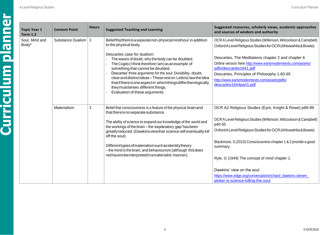| <b>Topic Year 1</b><br><b>Term 1.2</b> | <b>Content Point</b>  | <b>Hours</b> | <b>Suggested Teaching and Learning</b>                                                                                                                                                                                                                                                                                                                                                                                                                                                                                                                                             |
|----------------------------------------|-----------------------|--------------|------------------------------------------------------------------------------------------------------------------------------------------------------------------------------------------------------------------------------------------------------------------------------------------------------------------------------------------------------------------------------------------------------------------------------------------------------------------------------------------------------------------------------------------------------------------------------------|
| Soul, Mind and<br>Body*                | Substance Dualism   3 |              | Belief that there is a separate non-physical mind/soul in addition<br>to the physical body.<br>Descartes case for dualism:<br>The waves of doubt, why the body can be doubted.<br>$\overline{\phantom{a}}$<br>The Cogito (Ithink therefore I am) as an example of<br>something that cannot be doubted.<br>Descartes' three arguments for the soul: Divisibility, doubt,<br>clear and distinct ideas - These rest on Leibniz law the idea<br>that if there is one aspect in which things differ then logically<br>theymustbetwo different things.<br>Evaluation of these arguments. |
|                                        | Materialism           | 3            | Belief that consciousness is a feature of the physical brain and<br>that there is no separate substance.<br>The ability of science to expand our knowledge of the world and<br>the workings of the brain - the 'explanatory gap' has been<br>greatlyreduced. (Dawkins viewthat science will eventually ki<br>off the soul)<br>Differenttypes of materialism such as identity theory<br>- the mind is the brain, and behaviourism (although this does<br>nothavetobeinterpretedinamaterialist manner).                                                                              |

| Year 1<br>1.2 | <b>Content Point</b> | <b>Hours</b> | <b>Suggested Teaching and Learning</b>                                                                                                                                                                                                                                                                                                                                                                                                                                                                                                                 | Suggested resources, scholarly views, academic approaches<br>and sources of wisdom and authority                                                                                                                                                                                                                                                                                                                                                                    |
|---------------|----------------------|--------------|--------------------------------------------------------------------------------------------------------------------------------------------------------------------------------------------------------------------------------------------------------------------------------------------------------------------------------------------------------------------------------------------------------------------------------------------------------------------------------------------------------------------------------------------------------|---------------------------------------------------------------------------------------------------------------------------------------------------------------------------------------------------------------------------------------------------------------------------------------------------------------------------------------------------------------------------------------------------------------------------------------------------------------------|
| Mind and      | Substance Dualism 3  |              | Belief that there is a separate non-physical mind/soul in addition<br>to the physical body.<br>Descartes case for dualism:<br>The waves of doubt, why the body can be doubted.<br>The Cogito (Ithink therefore I am) as an example of<br>something that cannot be doubted.<br>Descartes' three arguments for the soul: Divisibility, doubt,<br>clear and distinct ideas - These rest on Leibniz law the idea<br>that if there is one aspect in which things differ then logically<br>theymustbetwo different things.<br>Evaluation of these arguments. | OCR A Level Religious Studies (Wilkinson, Wilcockson & Campbell)<br>Oxford A Level Religious Studies for OCR (Ahluwahlia & Bowie)<br>Descartes, The Meditations chapter 2 and chapter 6<br>Online version here http://www.earlymoderntexts.com/assets/<br>pdfs/descartes1641.pdf<br>Descartes, Principles of Philosophy 1.60-65<br>http://www.earlymoderntexts.com/assets/pdfs/<br>descartes1644part1.pdf                                                           |
|               | Materialism          | 3            | Belief that consciousness is a feature of the physical brain and<br>that there is no separate substance.<br>The ability of science to expand our knowledge of the world and<br>the workings of the brain - the 'explanatory gap' has been<br>greatlyreduced. (Dawkins viewthat science will eventually kill<br>off the soul)<br>Differenttypes of materialism such as identity theory<br>- the mind is the brain, and behaviourism (although this does<br>nothavetobe interpreted in a materialist manner).                                            | OCR A2 Religious Studies (Eyre, Knight & Rowe) p89-99<br>OCR A Level Religious Studies (Wilkinson, Wilcockson & Campbell)<br>p40-55<br>Oxford A Level Religious Studies for OCR (Ahluwahlia & Bowie)<br>Blackmore, S (2010) Consciousness chapter 1 & 2 provide a good<br>summary.<br>Ryle, G (1949) The concept of mind chapter 1.<br>Dawkins' view on the soul<br>https://www.edge.org/conversation/richard_dawkins-steven_<br>pinker-is-science-killing-the-soul |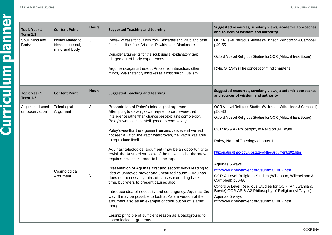**Curriculum planner**

| <b>Content Point</b><br>Issues related to<br>ideas about soul, | <b>Hours</b><br>$\mathbf{3}$ | <b>Suggested Teaching and Learning</b>                                                                                                                                                                                                                                                                                                                                                                                                                                                                                                                                                                                                                                                                                                                                                                                                                                                                                                                                                                                                             | Suggested resources, scholarly views, academic approaches<br>and sources of wisdom and authority                                                                                                                                                                                                                                                                                                                                                                                                                                                                                                                        |
|----------------------------------------------------------------|------------------------------|----------------------------------------------------------------------------------------------------------------------------------------------------------------------------------------------------------------------------------------------------------------------------------------------------------------------------------------------------------------------------------------------------------------------------------------------------------------------------------------------------------------------------------------------------------------------------------------------------------------------------------------------------------------------------------------------------------------------------------------------------------------------------------------------------------------------------------------------------------------------------------------------------------------------------------------------------------------------------------------------------------------------------------------------------|-------------------------------------------------------------------------------------------------------------------------------------------------------------------------------------------------------------------------------------------------------------------------------------------------------------------------------------------------------------------------------------------------------------------------------------------------------------------------------------------------------------------------------------------------------------------------------------------------------------------------|
|                                                                |                              |                                                                                                                                                                                                                                                                                                                                                                                                                                                                                                                                                                                                                                                                                                                                                                                                                                                                                                                                                                                                                                                    |                                                                                                                                                                                                                                                                                                                                                                                                                                                                                                                                                                                                                         |
| mind and body                                                  |                              | Review of case for dualism from Descartes and Plato and case<br>for materialism from Aristotle, Dawkins and Blackmore.<br>Consider arguments for the soul: qualia, explanatory gap,<br>alleged out of body experiences.                                                                                                                                                                                                                                                                                                                                                                                                                                                                                                                                                                                                                                                                                                                                                                                                                            | OCR A Level Religious Studies (Wilkinson, Wilcockson & Campbell)<br>p40-55<br>Oxford A Level Religious Studies for OCR (Ahluwahlia & Bowie)<br>Ryle, G (1949) The concept of mind chapter 1                                                                                                                                                                                                                                                                                                                                                                                                                             |
|                                                                |                              | minds, Ryle's category mistakes as a criticism of Dualism.                                                                                                                                                                                                                                                                                                                                                                                                                                                                                                                                                                                                                                                                                                                                                                                                                                                                                                                                                                                         |                                                                                                                                                                                                                                                                                                                                                                                                                                                                                                                                                                                                                         |
| <b>Content Point</b>                                           | <b>Hours</b>                 | <b>Suggested Teaching and Learning</b>                                                                                                                                                                                                                                                                                                                                                                                                                                                                                                                                                                                                                                                                                                                                                                                                                                                                                                                                                                                                             | Suggested resources, scholarly views, academic approaches<br>and sources of wisdom and authority                                                                                                                                                                                                                                                                                                                                                                                                                                                                                                                        |
| Teleological<br>Argument<br>Cosmological<br>Argument           | $\mathbf{3}$<br>3            | Presentation of Paley's teleological argument.<br>Attempting to solve jigsaws may reinforce the view that<br>intelligence rather than chance best explains complexity.<br>Paley's watch links intelligence to complexity.<br>Paley's view that the argument remains valid even if we had<br>not seen a watch, the watch was broken, the watch was able<br>to reproduce itself.<br>Aquinas' teleological argument (may be an opportunity to<br>revisit the Aristotelean view of the universe) that the arrow<br>requires the archer in order to hit the target.<br>Presentation of Aquinas' first and second ways leading to<br>idea of unmoved mover and uncaused cause - Aquinas<br>does not necessarily think of causes extending back in<br>time, but refers to present causes also.<br>Introduce idea of necessity and contingency. Aquinas' 3rd<br>way. It may be possible to look at Kalam version of the<br>argument also as an example of contribution of Islamic<br>thought.<br>Leibniz principle of sufficient reason as a background to | OCR A Level Religious Studies (Wilkinson, Wilcockson & Campbell)<br>p56-80<br>Oxford A Level Religious Studies for OCR (Ahluwahlia & Bowie)<br>OCR AS & A2 Philosophy of Religion (MTaylor)<br>Paley, Natural Theology chapter 1.<br>http://naturaltheology.us/state-of-the-argument/192.html<br>Aquinas 5 ways<br>http://www.newadvent.org/summa/1002.htm<br>OCR A Level Religious Studies (Wilkinson, Wilcockson &<br>Campbell) p56-80<br>Oxford A Level Religious Studies for OCR (Ahluwahlia &<br>Bowie) OCR AS & A2 Philosophy of Religion (M Taylor)<br>Aquinas 5 ways<br>http://www.newadvent.org/summa/1002.htm |
|                                                                |                              |                                                                                                                                                                                                                                                                                                                                                                                                                                                                                                                                                                                                                                                                                                                                                                                                                                                                                                                                                                                                                                                    | Arguments against the soul: Problem of interaction, other<br>cosmological arguments.                                                                                                                                                                                                                                                                                                                                                                                                                                                                                                                                    |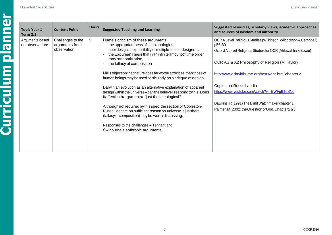**Curriculum planner**

| <b>Topic Year 1</b><br><b>Term 2.1</b> | <b>Content Point</b>                               | <b>Hours</b> | <b>Suggested Teaching and Learning</b>                                                                                                                                                                                                                                                                                                                                                                                                                                                                                                                                                                                                                                                                                                                                                                                                                                           | Suggested resources, scholarly views, academic approaches<br>and sources of wisdom and authority                                                                                                                                                                                                                                                                                                                                        |
|----------------------------------------|----------------------------------------------------|--------------|----------------------------------------------------------------------------------------------------------------------------------------------------------------------------------------------------------------------------------------------------------------------------------------------------------------------------------------------------------------------------------------------------------------------------------------------------------------------------------------------------------------------------------------------------------------------------------------------------------------------------------------------------------------------------------------------------------------------------------------------------------------------------------------------------------------------------------------------------------------------------------|-----------------------------------------------------------------------------------------------------------------------------------------------------------------------------------------------------------------------------------------------------------------------------------------------------------------------------------------------------------------------------------------------------------------------------------------|
| Arguments based<br>on observation*     | Challenges to the<br>arguments from<br>observation | 5            | Hume's criticism of these arguments:<br>the appropriateness of such analogies,<br>poor design, the possibility of multiple limited designers,<br>the Epicurean Thesis that in an infinite amount of time order<br>may randomly arise,<br>the fallacy of composition<br>Mill's objection that nature does far worse atrocities than those of<br>human beings may be used particularly as a critique of design.<br>Darwinian evolution as an alternative explanation of apparent<br>design within the universe - can the believer respond to this. Does<br>itaffectbotharguments of just the teleological?<br>Although not required by this spec. the section of Copleston-<br>Russell debate on sufficient reason vs universe is just there<br>(fallacy of composition) may be worth discussing.<br>Responses to the challenges - Tennant and<br>Swinburne's anthropic arguments. | OCR A Level Religious Studies (Wilkinson, Wilcockson & Campbell)<br>p56-80<br>Oxford A Level Religious Studies for OCR (Ahluwahlia & Bowie)<br>OCR AS & A2 Philosophy of Religion (M Taylor)<br>http://www.davidhume.org/texts/dnr.html chapter 2.<br>Copleston-Russell audio<br>https://www.youtube.com/watch?v=-BWFpBTqSN0<br>Dawkins, R (1991) The Blind Watchmaker chapter 1<br>Palmer, M (2002) the Question of God. Chapter 2 & 3 |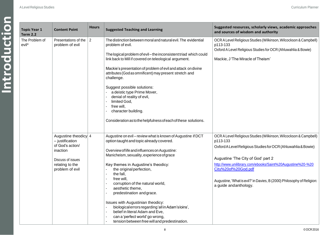| <b>Topic Year 1</b>                        | <b>Content Point</b>                                                                                                               | <b>Hours</b>   | <b>Suggested Teaching and Learning</b>                                                                                                                                                                                                                                                                                                                                                                                                                                                                                                                                                                                                                       | Suggested resources, scholarly views, academic approaches<br>and sources of wisdom and authority                                                                                                                                                                                                                                                                            |
|--------------------------------------------|------------------------------------------------------------------------------------------------------------------------------------|----------------|--------------------------------------------------------------------------------------------------------------------------------------------------------------------------------------------------------------------------------------------------------------------------------------------------------------------------------------------------------------------------------------------------------------------------------------------------------------------------------------------------------------------------------------------------------------------------------------------------------------------------------------------------------------|-----------------------------------------------------------------------------------------------------------------------------------------------------------------------------------------------------------------------------------------------------------------------------------------------------------------------------------------------------------------------------|
| <b>Term 2.2</b><br>The Problem of<br>evil* | Presentations of the<br>problem of evil                                                                                            | $\overline{2}$ | The distinction between moral and natural evil. The evidential<br>problem of evil.<br>The logical problem of evil-the inconsistent triad which could<br>link back to Mill if covered on teleological argument.<br>Mackie's presentation of problem of evil and attack on divine<br>attributes (God as omnificent) may present stretch and<br>challenge.<br>Suggest possible solutions:<br>a deistic type Prime Mover,<br>denial of reality of evil,<br>limited God,<br>free will,<br>character building.<br>Consideration as to the helpfulness of each of these solutions.                                                                                  | OCR A Level Religious Studies (Wilkinson, Wilcockson & Campbell)<br>p113-133<br>Oxford A Level Religious Studies for OCR (Ahluwahlia & Bowie)<br>Mackie, J'The Miracle of Theism'                                                                                                                                                                                           |
|                                            | Augustine theodicy 4<br>- justification<br>of God's action/<br>inaction<br>Discuss of issues<br>relating to the<br>problem of evil |                | Augustine on evil - review what is known of Augustine if DCT<br>option taught and topic already covered.<br>Overview of life and influences on Augustine:<br>Manicheism, sexuality, experience of grace<br>Key themes in Augustine's theodicy:<br>the original perfection,<br>the fall,<br>ä,<br>free will,<br>$\blacksquare$<br>corruption of the natural world,<br>aesthetic theme,<br>predestination and grace.<br>Issues with Augustinian theodicy:<br>biological errors regarding 'all in Adam's loins',<br>belief in literal Adam and Eve,<br>÷,<br>can a 'perfect world' go wrong,<br>$\blacksquare$<br>tension between free will and predestination. | OCR A Level Religious Studies (Wilkinson, Wilcockson & Campbell)<br>p113-133<br>Oxford A Level Religious Studies for OCR (Ahluwahlia & Bowie)<br>Augustine 'The City of God' part 2<br>http://www.unilibrary.com/ebooks/Saint%20Augustine%20-%20<br>City%20of%20God.pdf<br>Augustine, 'What is evil?' in Davies, B (2000) Philosophy of Religion:<br>a guide and anthology. |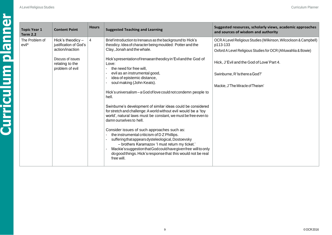| <b>Topic Year 1</b><br><b>Term 2.2</b> | <b>Content Point</b>                                                                  | <b>Hours</b>   | <b>Suggested Teaching and Learning</b>                                                                                                                                                                                                                                                                                                                                                                                                                                                                                                                                             | Suggested resources, scholarly views, academic approaches<br>and sources of wisdom and authority                                              |
|----------------------------------------|---------------------------------------------------------------------------------------|----------------|------------------------------------------------------------------------------------------------------------------------------------------------------------------------------------------------------------------------------------------------------------------------------------------------------------------------------------------------------------------------------------------------------------------------------------------------------------------------------------------------------------------------------------------------------------------------------------|-----------------------------------------------------------------------------------------------------------------------------------------------|
| The Problem of<br>evil <sup>*</sup>    | Hick's theodicy $-$<br>justification of God's<br>action/inaction<br>Discuss of issues | $\overline{4}$ | Brief introduction to Irenaeus as the background to Hick's<br>theodicy. Idea of character being moulded: Potter and the<br>Clay, Jonah and the whale.<br>Hick's presentation of Irenaean theodicy in 'Evil and the God of                                                                                                                                                                                                                                                                                                                                                          | OCR A Level Religious Studies (Wilkinson, Wilcockson & Campbell)<br>p113-133<br>Oxford A Level Religious Studies for OCR (Ahluwahlia & Bowie) |
|                                        | relating to the<br>problem of evil                                                    |                | Love:<br>the need for free will,<br>evil as an instrumental good,<br>idea of epistemic distance,<br>soul making (John Keats).<br>Hick's universalism-a God of love could not condemn people to<br>hell.                                                                                                                                                                                                                                                                                                                                                                            | Hick, J'Evil and the God of Love' Part 4.<br>Swinburne, R'Is there a God?'<br>Mackie, J'The Miracle of Theism'                                |
|                                        |                                                                                       |                | Swinburne's development of similar ideas could be considered<br>for stretch and challenge: A world without evil would be a 'toy<br>world', natural laws must be constant, we must be free even to<br>damn ourselves to hell.<br>Consider issues of such approaches such as:<br>the instrumental criticism of DZ Phillips.<br>suffering that appears dysteleological, Dostoevsky<br>- brothers Karamazov 'I must return my ticket.'<br>Mackie's suggestion that God could have given free will to only<br>do good things. Hick's response that this would not be real<br>free will. |                                                                                                                                               |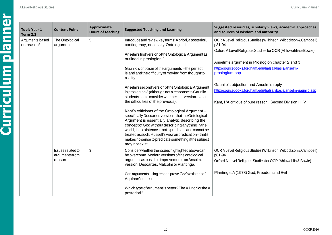**Curriculum planner**

└

| <b>Topic Year 1</b><br><b>Term 2.2</b> | <b>Content Point</b>                          | Approximate<br><b>Hours of teaching</b> | <b>Suggested Teaching and Learning</b>                                                                                                                                                                                                                                                                                                                                                                       | Suggested resources, scholarly views, academic approaches<br>and sources of wisdom and authority                                                                         |                                                                                                                  |
|----------------------------------------|-----------------------------------------------|-----------------------------------------|--------------------------------------------------------------------------------------------------------------------------------------------------------------------------------------------------------------------------------------------------------------------------------------------------------------------------------------------------------------------------------------------------------------|--------------------------------------------------------------------------------------------------------------------------------------------------------------------------|------------------------------------------------------------------------------------------------------------------|
| Arguments based<br>on reason*          | The Ontological<br>argument                   | 5                                       | Introduce and review key terms: A priori, a posteriori,<br>contingency, necessity, Ontological.                                                                                                                                                                                                                                                                                                              | OCR A Level Religious Studies (Wilkinson, Wilcockson & Campbell)<br>p81-94                                                                                               |                                                                                                                  |
|                                        |                                               |                                         |                                                                                                                                                                                                                                                                                                                                                                                                              | Anselm's first version of the Ontological Argument as<br>outlined in proslogion 2.                                                                                       | Oxford A Level Religious Studies for OCR (Ahluwahlia & Bowie)<br>Anselm's argument in Proslogion chapter 2 and 3 |
|                                        |                                               |                                         | Gaunilo's criticism of the arguments - the perfect<br>island and the difficulty of moving from thought to<br>reality.                                                                                                                                                                                                                                                                                        | http://sourcebooks.fordham.edu/halsall/basis/anselm-<br>proslogium.asp                                                                                                   |                                                                                                                  |
|                                        |                                               |                                         | Anselm's second version of the Ontological Argument<br>in proslogion 3 (although not a response to Gaunilo-<br>students could consider whether this version avoids<br>the difficulties of the previous).                                                                                                                                                                                                     | Gaunilo's objection and Anselm's reply<br>http://sourcebooks.fordham.edu/halsall/basis/anselm-gaunilo.asp<br>Kant, I 'A critique of pure reason.' Second Division III.IV |                                                                                                                  |
|                                        |                                               |                                         | Kant's criticisms of the Ontological Argument -<br>specifically Descartes version-that the Ontological<br>Argument is essentially analytic describing the<br>concept of God without describing anything in the<br>world, that existence is not a predicate and cannot be<br>treated as such. Russell's view on predication-that it<br>makes no sense to predicate something if the subject<br>may not exist. |                                                                                                                                                                          |                                                                                                                  |
|                                        | Issues related to<br>arguments from<br>reason | 3                                       | Consider whether the issues highlighted above can<br>be overcome. Modern versions of the ontological<br>argument as possible improvements on Anselm's<br>version: Descartes, Malcolm or Plantinga.                                                                                                                                                                                                           | OCR A Level Religious Studies (Wilkinson, Wilcockson & Campbell)<br>p81-94<br>Oxford A Level Religious Studies for OCR (Ahluwahlia & Bowie)                              |                                                                                                                  |
|                                        |                                               |                                         | Can arguments using reason prove God's existence?<br>Aquinas' criticism.                                                                                                                                                                                                                                                                                                                                     | Plantinga, A (1978) God, Freedom and Evil                                                                                                                                |                                                                                                                  |
|                                        |                                               |                                         | Which type of argument is better? The A Priori or the A<br>posteriori?                                                                                                                                                                                                                                                                                                                                       |                                                                                                                                                                          |                                                                                                                  |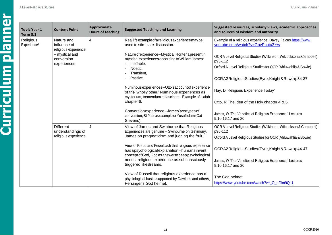| <b>Topic Year 1</b><br><b>Term 3.1</b> | <b>Content Point</b>                                          | Approximate<br><b>Hours of teaching</b> | <b>Suggested Teaching and Learning</b>                                                                                                                                                                                                                                                                                                                                                        | Suggested resources, scholarly views, academic approaches<br>and sources of wisdom and authority |
|----------------------------------------|---------------------------------------------------------------|-----------------------------------------|-----------------------------------------------------------------------------------------------------------------------------------------------------------------------------------------------------------------------------------------------------------------------------------------------------------------------------------------------------------------------------------------------|--------------------------------------------------------------------------------------------------|
| Religious<br>Experience*               | Nature and<br>influence of<br>religious experience            | 4                                       | Reallife example of a religious experience may be<br>used to stimulate discussion.                                                                                                                                                                                                                                                                                                            | Example of a religious experience: Davey Falcus https://www.<br>youtube.com/watch?v=GbvPnotaZYw  |
|                                        | - mystical and<br>conversion<br>experiences                   |                                         | Nature of experience-Mystical: 4 criteria present in<br>mystical experiences according to William James:<br>Ineffable,                                                                                                                                                                                                                                                                        | OCR A Level Religious Studies (Wilkinson, Wilcockson & Campbell)<br>p95-112                      |
|                                        |                                                               |                                         | Noetic,<br>Transient,                                                                                                                                                                                                                                                                                                                                                                         | Oxford A Level Religious Studies for OCR (Ahluwahlia & Bowie)                                    |
|                                        |                                                               |                                         | Passive.                                                                                                                                                                                                                                                                                                                                                                                      | OCRA2Religious Studies (Eyre, Knight & Rowe) p34-37                                              |
|                                        |                                                               |                                         | Numinous experiences-Otto's account of experience<br>of the 'wholly other.' Numinous experiences as<br>mysterium, tremendum et fascinans. Example of Isaiah<br>chapter 6.                                                                                                                                                                                                                     | Hay, D 'Religious Experience Today'                                                              |
|                                        |                                                               |                                         |                                                                                                                                                                                                                                                                                                                                                                                               | Otto, R The idea of the Holy chapter 4 & 5                                                       |
|                                        |                                                               |                                         | Conversionexperience-James'twotypes of<br>conversion, St Paul as example or Yusuf Islam (Cat<br>Stevens).                                                                                                                                                                                                                                                                                     | James, W 'The Varieties of Religious Experience.' Lectures<br>9,10,16,17 and 20                  |
|                                        | <b>Different</b><br>understandings of<br>religious experience | 4                                       | View of James and Swinburne that Religious<br>Experiences are genuine - Swinburne on testimony,<br>James on pragmaticism and judging the fruit.<br>View of Freud and Feuerbach that religious experience<br>has a psychological explanation - humans invent<br>concept of God, God as answer to deep psychological<br>needs, religious experience as subconsciously<br>triggered like dreams. | OCR A Level Religious Studies (Wilkinson, Wilcockson & Campbell)<br>p95-112                      |
|                                        |                                                               |                                         |                                                                                                                                                                                                                                                                                                                                                                                               | Oxford A Level Religious Studies for OCR (Ahluwahlia & Bowie)                                    |
|                                        |                                                               |                                         |                                                                                                                                                                                                                                                                                                                                                                                               | OCRA2ReligiousStudies(Eyre,Knight&Rowe)p44-47                                                    |
|                                        |                                                               |                                         |                                                                                                                                                                                                                                                                                                                                                                                               | James, W 'The Varieties of Religious Experience.' Lectures<br>9,10,16,17 and 20                  |
|                                        |                                                               |                                         | View of Russell that religious experience has a<br>physiological basis, supported by Dawkins and others,<br>Persinger's God helmet.                                                                                                                                                                                                                                                           | The God helmet<br>https://www.youtube.com/watch?v= O aGIm9QjU                                    |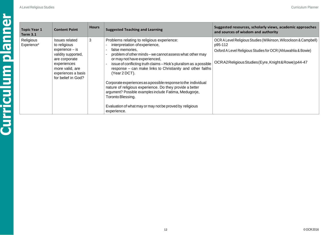| <b>Topic Year 1</b><br><b>Term 3.1</b> | <b>Content Point</b>                                                                                                                                                     | <b>Hours</b> | <b>Suggested Teaching and Learning</b>                                                                                                                                                                                                                                                                                                                                                                                                                                                                                                                                                                                                  | Suggested resources, scholarly views, academic approaches<br>and sources of wisdom and authority                                                                                              |
|----------------------------------------|--------------------------------------------------------------------------------------------------------------------------------------------------------------------------|--------------|-----------------------------------------------------------------------------------------------------------------------------------------------------------------------------------------------------------------------------------------------------------------------------------------------------------------------------------------------------------------------------------------------------------------------------------------------------------------------------------------------------------------------------------------------------------------------------------------------------------------------------------------|-----------------------------------------------------------------------------------------------------------------------------------------------------------------------------------------------|
| Religious<br>Experience*               | Issues related<br>to religious<br>experience - is<br>validity supported,<br>are corporate<br>experiences<br>more valid, are<br>experiences a basis<br>for belief in God? | 3            | Problems relating to religious experience:<br>interpretation of experience,<br>false memories.<br>problem of other minds - we cannot assess what other may<br>or may not have experienced,<br>issue of conflicting truth claims - Hick's pluralism as a possible<br>response - can make links to Christianity and other faiths<br>(Year 2 DCT).<br>Corporate experiences as a possible response to the individual<br>nature of religious experience. Do they provide a better<br>argument? Possible examples include Fatima, Medugorje,<br>Toronto Blessing.<br>Evaluation of what may or may not be proved by religious<br>experience. | OCR A Level Religious Studies (Wilkinson, Wilcockson & Campbell)<br>p95-112<br>Oxford A Level Religious Studies for OCR (Ahluwahlia & Bowie)<br>OCRA2ReligiousStudies(Eyre,Knight&Rowe)p44-47 |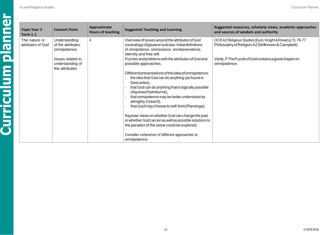| <b>Topic Year 2</b><br><b>Term 1.1</b> | <b>Content Point</b>                                                                                           | Approximate<br><b>Hours of teaching</b> | <b>Suggested Teaching and Learning</b>                                                                                                                                                                                                                                                                                                                                                                                                                                                                                                                                                                                                                                                                                                                            | Suggested resources, scholarly views, academic approaches<br>and sources of wisdom and authority                                                                                      |
|----------------------------------------|----------------------------------------------------------------------------------------------------------------|-----------------------------------------|-------------------------------------------------------------------------------------------------------------------------------------------------------------------------------------------------------------------------------------------------------------------------------------------------------------------------------------------------------------------------------------------------------------------------------------------------------------------------------------------------------------------------------------------------------------------------------------------------------------------------------------------------------------------------------------------------------------------------------------------------------------------|---------------------------------------------------------------------------------------------------------------------------------------------------------------------------------------|
| The nature or<br>attributes of God     | Understanding<br>of the attributes:<br>omnipotence,<br>Issues related to<br>understanding of<br>the attributes | $\overline{4}$                          | Overview of issues around the attributes of God<br>via analogy of jigsaw or suitcase. Initial definitions<br>of omnipotence, omniscience, omnibenevolence,<br>eternity and free will.<br>Puzzles and problems with the attributes of God and<br>possible approaches.<br>Different presentations of the idea of omnipotence:<br>the idea that God can do anything (as found in<br>Descartes),<br>that God can do anything that is logically possible<br>(Aquinas/Swinburne),<br>that omnipotence may be better understood as<br>almighty (Geach),<br>that God may choose to self-limit (Plantinga).<br>Aquinas' views on whether God can change the past<br>or whether God can sin as well as possible solutions to<br>the paradox of the stone could be explored. | OCR A2 Religious Studies (Eyre, Knight & Rowe) p 73, 76-77<br>Philosophy of Religion A2 (Wilkinson & Campbell)<br>Vardy, PThe Puzzle of Godcontains a good chapter on<br>omnipotence. |
|                                        |                                                                                                                |                                         | Consider coherence of different approaches to<br>omnipotence.                                                                                                                                                                                                                                                                                                                                                                                                                                                                                                                                                                                                                                                                                                     |                                                                                                                                                                                       |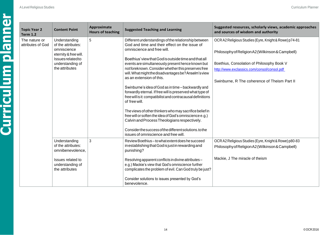| <b>Topic Year 2</b><br><b>Term 1.2</b> | <b>Content Point</b>                                                                                                                          | Approximate<br><b>Hours of teaching</b> | <b>Suggested Teaching and Learning</b>                                                                                                                                                                                                                                                                                                                                                                                                                                                                                                                                                                                                                                                                                                                                                                                                                                 | Suggested resources, scholarly views, academic approaches<br>and sources of wisdom and authority                                                                                                                                                       |
|----------------------------------------|-----------------------------------------------------------------------------------------------------------------------------------------------|-----------------------------------------|------------------------------------------------------------------------------------------------------------------------------------------------------------------------------------------------------------------------------------------------------------------------------------------------------------------------------------------------------------------------------------------------------------------------------------------------------------------------------------------------------------------------------------------------------------------------------------------------------------------------------------------------------------------------------------------------------------------------------------------------------------------------------------------------------------------------------------------------------------------------|--------------------------------------------------------------------------------------------------------------------------------------------------------------------------------------------------------------------------------------------------------|
| The nature or<br>attributes of God     | Understanding<br>of the attributes:<br>omniscience<br>eternity & free will.<br><b>Issues related to</b><br>understanding of<br>the attributes | 5                                       | Different understandings of the relationship between<br>God and time and their effect on the issue of<br>omniscience and free will.<br>Boethius' view that God is outside time and that all<br>events are simultaneously present hence known but<br>not foreknown. Consider whether this preserves free<br>will. What might the disadvantages be? Anselm's view<br>as an extension of this.<br>Swinburne's idea of God as in time-backwardly and<br>forwardly eternal. If free will is preserved what type of<br>free will is it: compatibilist and contracausal definitions<br>of free will.<br>The views of other thinkers who may sacrifice belief in<br>free will or soften the idea of God's omniscience e.g.)<br>Calvin and Process Theologians respectively.<br>Consider the success of the different solutions, to the<br>issues of omniscience and free will. | OCR A2 Religious Studies (Eyre, Knight & Rowe) p74-81<br>Philosophy of Religion A2 (Wilkinson & Campbell)<br>Boethius, Consolation of Philosophy Book V<br>http://www.exclassics.com/consol/consol.pdf<br>Swinburne, R The coherence of Theism Part II |
|                                        | Understanding<br>of the attributes:<br>omnibenevolence,<br>Issues related to                                                                  | 3                                       | Review Boethius-to what extent does he succeed<br>in establishing that God is just in rewarding and<br>punishing?<br>Resolving apparent conflicts in divine attributes-                                                                                                                                                                                                                                                                                                                                                                                                                                                                                                                                                                                                                                                                                                | OCR A2 Religious Studies (Eyre, Knight & Rowe) p80-83<br>Philosophy of Religion A2 (Wilkinson & Campbell)<br>Mackie, J The miracle of theism                                                                                                           |
|                                        | understanding of<br>the attributes                                                                                                            |                                         | e.g.) Mackie's view that God's omniscience further<br>complicates the problem of evil. Can God truly be just?<br>Consider solutions to issues presented by God's<br>benevolence.                                                                                                                                                                                                                                                                                                                                                                                                                                                                                                                                                                                                                                                                                       |                                                                                                                                                                                                                                                        |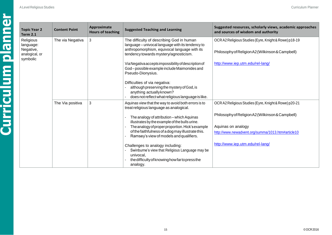| <b>Topic Year 2</b><br><b>Term 2.1</b>                            | <b>Content Point</b> | Approximate<br><b>Hours of teaching</b> | <b>Suggested Teaching and Learning</b>                                                                                                                                                                   | Suggested resources, scholarly views, academic approaches<br>and sources of wisdom and authority          |
|-------------------------------------------------------------------|----------------------|-----------------------------------------|----------------------------------------------------------------------------------------------------------------------------------------------------------------------------------------------------------|-----------------------------------------------------------------------------------------------------------|
| Religious<br>language:<br>Negative,<br>analogical, or<br>symbolic | The via Negativa     | 3                                       | The difficulty of describing God in human<br>language - univocal language with its tendency to<br>anthropomorphism, equivocal language with its<br>tendency towards mystery/agnosticism.                 | OCR A2 Religious Studies (Eyre, Knight & Rowe) p18-19<br>Philosophy of Religion A2 (Wilkinson & Campbell) |
|                                                                   |                      |                                         | Via Negativa accepts impossibility of description of<br>God-possible example include Maimonides and<br>Pseudo-Dionysius.                                                                                 | http://www.iep.utm.edu/rel-lang/                                                                          |
|                                                                   |                      |                                         | Difficulties of via negativa:<br>although preserving the mystery of God, is<br>anything actually known?<br>does not reflect what religious language is like.                                             |                                                                                                           |
|                                                                   | The Via positiva     | $\mathfrak{Z}$                          | Aquinas view that the way to avoid both errors is to<br>treat religious language as analogical.                                                                                                          | OCR A2 Religious Studies (Eyre, Knight & Rowe) p20-21                                                     |
|                                                                   |                      |                                         | The analogy of attribution – which Aquinas<br>illustrates by the example of the bulls urine.                                                                                                             | Philosophy of Religion A2 (Wilkinson & Campbell)                                                          |
|                                                                   |                      |                                         | The analogy of proper proportion. Hick's example<br>of the faithfulness of a dog may illustrate this.                                                                                                    | Aquinas on analogy<br>http://www.newadvent.org/summa/1013.htm#article10                                   |
|                                                                   |                      |                                         | Ramsey's view of models and qualifiers.<br>Challenges to analogy including:<br>Swinburne's view that Religious Language may be<br>univocal,<br>the difficulty of knowing how farto press the<br>analogy. | http://www.iep.utm.edu/rel-lang/                                                                          |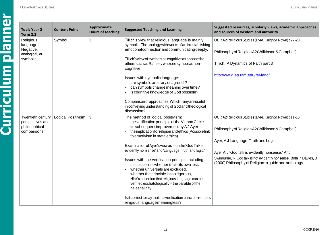| <b>Topic Year 2</b><br><b>Term 2.2</b>                                | <b>Content Point</b>      | <b>Approximate</b><br><b>Hours of teaching</b> | <b>Suggested Teaching and Learning</b>                                                                                                                                                                                                                                                                                                                                                                                                                                                                                                                                                                                                                                                                                                               | Suggested resources, scholarly views, academic approaches<br>and sources of wisdom and authority                                                                                                                                                                                                                                   |
|-----------------------------------------------------------------------|---------------------------|------------------------------------------------|------------------------------------------------------------------------------------------------------------------------------------------------------------------------------------------------------------------------------------------------------------------------------------------------------------------------------------------------------------------------------------------------------------------------------------------------------------------------------------------------------------------------------------------------------------------------------------------------------------------------------------------------------------------------------------------------------------------------------------------------------|------------------------------------------------------------------------------------------------------------------------------------------------------------------------------------------------------------------------------------------------------------------------------------------------------------------------------------|
| Religious<br>language:<br>Negative,<br>analogical, or<br>symbolic     | Symbol                    | $\mathbf{3}$                                   | Tillich's view that religious language is mainly<br>symbolic. The analogy with works of art in establishing<br>emotional connection and communicating deeply.<br>Tillich's view of symbols as cognitive as opposed to<br>others such as Ramsey who see symbol as non-<br>cognitive.<br>Issues with symbolic language:<br>are symbols arbitrary or agreed.?<br>can symbols change meaning over time?<br>is cognitive knowledge of God possible?<br>Comparison of approaches. Which if any are useful<br>in conveying understanding of God and theological<br>discussion?                                                                                                                                                                              | OCR A2 Religious Studies (Eyre, Knight & Rowe) p22-23<br>Philosophy of Religion A2 (Wilkinson & Campbell)<br>Tillich, P Dynamics of Faith part 3<br>http://www.iep.utm.edu/rel-lang/                                                                                                                                               |
| Twentieth century<br>perspectives and<br>philosophical<br>comparisons | <b>Logical Positivism</b> | $\mathbf{3}$                                   | The method of logical positivism:<br>the verification principle of the Vienna Circle<br>its subsequent improvement by AJ Ayer<br>the implication for religion and ethics (Possible link<br>to emotivism in meta ethics)<br>Examination of Ayer's view as found in 'God Talk is<br>evidently nonsense' and 'Language, truth and logic.'<br>Issues with the verification principle including:<br>discussion as whether it fails its own test,<br>whether universals are excluded,<br>whether the principle is too rigorous,<br>Hick's assertion that religious language can be<br>verified eschatologically - the parable of the<br>celestial city.<br>Is it correct to say that the verification principle renders<br>religious language meaningless? | OCR A2 Religious Studies (Eyre, Knight & Rowe) p11-15<br>Philosophy of Religion A2 (Wilkinson & Campbell)<br>Ayer, A J Language, Truth and Logic<br>Ayer A J 'God talk is evidently nonsense.' And<br>Swinburne, R'God talk is not evidently nonsense.' Both in Davies, B<br>(2000) Philosophy of Religion: a guide and anthology. |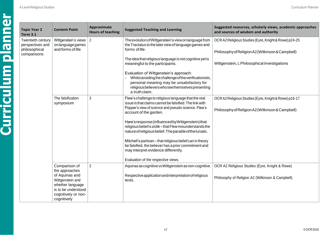|  | Topic Ye<br>Term 3.1                           |
|--|------------------------------------------------|
|  | Twentietl<br>perspecti<br>philosop<br>comparis |
|  |                                                |
|  |                                                |
|  |                                                |
|  |                                                |

| ar $2$                                  | <b>Content Point</b>                                                                                                                                   | Approximate<br><b>Hours of teaching</b> | <b>Suggested Teaching and Learning</b>                                                                                                                                                                                                                                                                                                                                                                                                                                                                                                                                                            | Suggested resources, scholarly views, academic approaches<br>and sources of wisdom and authority                                                          |
|-----------------------------------------|--------------------------------------------------------------------------------------------------------------------------------------------------------|-----------------------------------------|---------------------------------------------------------------------------------------------------------------------------------------------------------------------------------------------------------------------------------------------------------------------------------------------------------------------------------------------------------------------------------------------------------------------------------------------------------------------------------------------------------------------------------------------------------------------------------------------------|-----------------------------------------------------------------------------------------------------------------------------------------------------------|
| h century<br>tives and<br>hical<br>sons | Wittgenstein's views<br>on language games<br>and forms of life                                                                                         | $\vert 2 \vert$                         | The evolution of Wittgenstein's view on language from<br>the Tractatus to the later view of language games and<br>forms of life.<br>The idea that religious language is not cognitive yet is<br>meaningful to the participants.<br>Evaluation of Wittgenstein's approach:<br>Whilst avoiding the challenge of the verificationists,<br>personal meaning may be unsatisfactory for<br>religious believers who see themselves presenting                                                                                                                                                            | OCR A2 Religious Studies (Eyre, Knight & Rowe) p24-25<br>Philosophy of Religion A2 (Wilkinson & Campbell)<br>Wittgenstein, L Philosophical Investigations |
|                                         | The falsification<br>symposium                                                                                                                         | 3                                       | a truth claim.<br>Flew's challenge to religious language that the real<br>issue is that claims cannot be falsified. The link with<br>Popper's view of science and pseudo-science. Flew's<br>account of the garden.<br>Hare's response (influenced by Wittgenstein) that<br>religious belief is a blik-that Flew misunderstands the<br>nature of religious belief. The parable of the lunatic.<br>Mitchell's partisan - that religious belief can in theory<br>be falsified, the believer has a prior commitment and<br>may interpret evidence differently.<br>Evaluation of the respective views. | OCR A2 Religious Studies (Eyre, Knight & Rowe) p16-17<br>Philosophy of Religion A2 (Wilkinson & Campbell)                                                 |
|                                         | Comparison of<br>the approaches<br>of Aquinas and<br>Wittgenstein and<br>whether language<br>is to be understood<br>cognitively or non-<br>cognitively | $\overline{2}$                          | Aquinas as cognitive vs Wittgenstein as non-cognitive.<br>Respective application and interpretation of religious<br>texts.                                                                                                                                                                                                                                                                                                                                                                                                                                                                        | OCR A2 Religious Studies (Eyre, Knight & Rowe)<br>Philosophy of Religion A2 (Wilkinson & Campbell)                                                        |